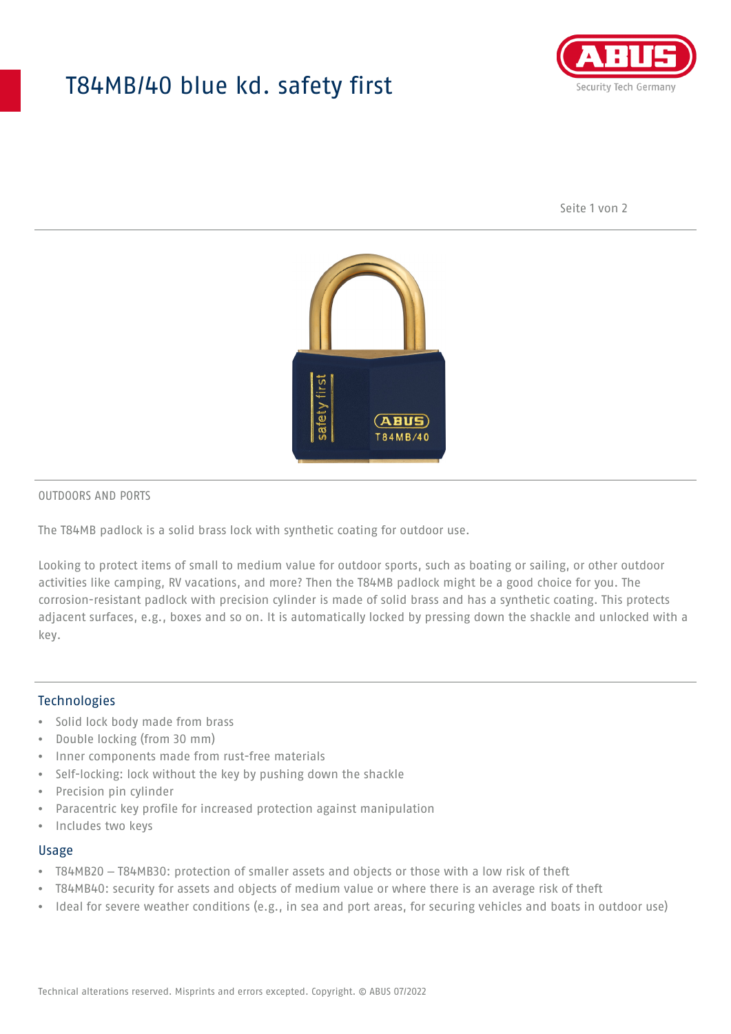## T84MB/40 blue kd. safety first



Seite 1 von 2



#### OUTDOORS AND PORTS

The T84MB padlock is a solid brass lock with synthetic coating for outdoor use.

Looking to protect items of small to medium value for outdoor sports, such as boating or sailing, or other outdoor activities like camping, RV vacations, and more? Then the T84MB padlock might be a good choice for you. The corrosion-resistant padlock with precision cylinder is made of solid brass and has a synthetic coating. This protects adjacent surfaces, e.g., boxes and so on. It is automatically locked by pressing down the shackle and unlocked with a key.

#### Technologies

- Solid lock body made from brass
- Double locking (from 30 mm)
- Inner components made from rust-free materials
- Self-locking: lock without the key by pushing down the shackle
- Precision pin cylinder
- Paracentric key profile for increased protection against manipulation
- Includes two keys

#### Usage

- T84MB20 T84MB30: protection of smaller assets and objects or those with a low risk of theft
- T84MB40: security for assets and objects of medium value or where there is an average risk of theft
- Ideal for severe weather conditions (e.g., in sea and port areas, for securing vehicles and boats in outdoor use)